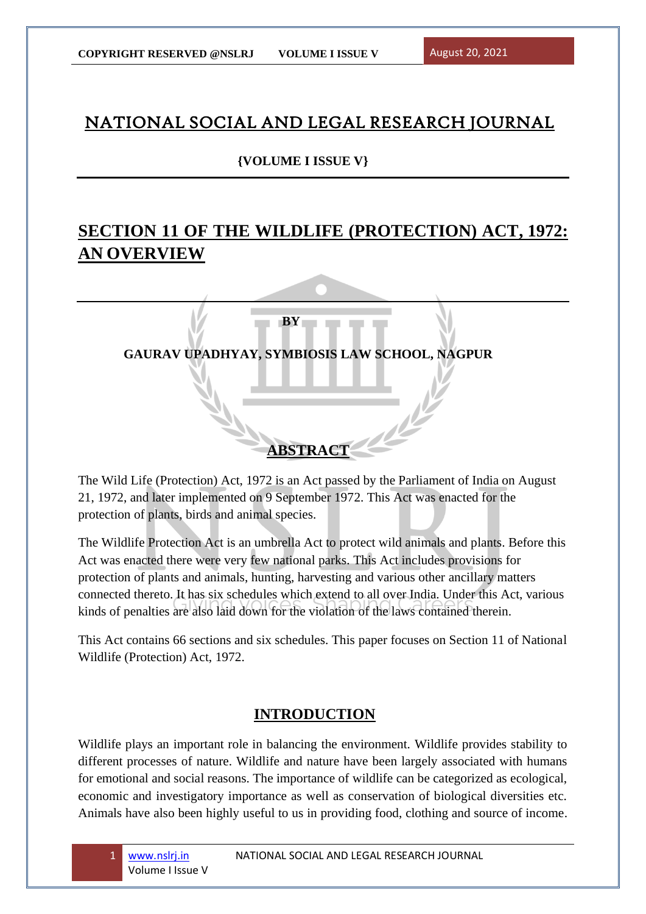# NATIONAL SOCIAL AND LEGAL RESEARCH JOURNAL

## **{VOLUME I ISSUE V}**

# **SECTION 11 OF THE WILDLIFE (PROTECTION) ACT, 1972: AN OVERVIEW**



The Wild Life (Protection) Act, 1972 is an Act passed by the Parliament of India on August 21, 1972, and later implemented on 9 September 1972. This Act was enacted for the protection of plants, birds and animal species.

The Wildlife Protection Act is an umbrella Act to protect wild animals and plants. Before this Act was enacted there were very few national parks. This Act includes provisions for protection of plants and animals, hunting, harvesting and various other ancillary matters connected thereto. It has six schedules which extend to all over India. Under this Act, various kinds of penalties are also laid down for the violation of the laws contained therein.

This Act contains 66 sections and six schedules. This paper focuses on Section 11 of National Wildlife (Protection) Act, 1972.

## **INTRODUCTION**

Wildlife plays an important role in balancing the environment. Wildlife provides stability to different processes of nature. Wildlife and nature have been largely associated with humans for emotional and social reasons. The importance of wildlife can be categorized as ecological, economic and investigatory importance as well as conservation of biological diversities etc. Animals have also been highly useful to us in providing food, clothing and source of income.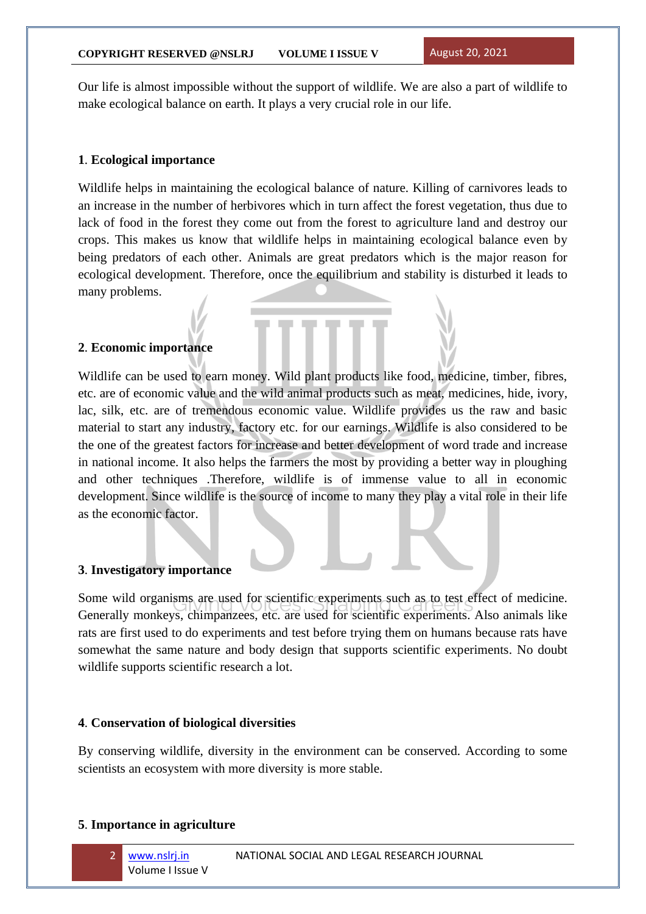Our life is almost impossible without the support of wildlife. We are also a part of wildlife to make ecological balance on earth. It plays a very crucial role in our life.

### **1**. **Ecological importance**

Wildlife helps in maintaining the ecological balance of nature. Killing of carnivores leads to an increase in the number of herbivores which in turn affect the forest vegetation, thus due to lack of food in the forest they come out from the forest to agriculture land and destroy our crops. This makes us know that wildlife helps in maintaining ecological balance even by being predators of each other. Animals are great predators which is the major reason for ecological development. Therefore, once the equilibrium and stability is disturbed it leads to many problems.

### **2**. **Economic importance**

Wildlife can be used to earn money. Wild plant products like food, medicine, timber, fibres, etc. are of economic value and the wild animal products such as meat, medicines, hide, ivory, lac, silk, etc. are of tremendous economic value. Wildlife provides us the raw and basic material to start any industry, factory etc. for our earnings. Wildlife is also considered to be the one of the greatest factors for increase and better development of word trade and increase in national income. It also helps the farmers the most by providing a better way in ploughing and other techniques .Therefore, wildlife is of immense value to all in economic development. Since wildlife is the source of income to many they play a vital role in their life as the economic factor.

### **3**. **Investigatory importance**

Some wild organisms are used for scientific experiments such as to test effect of medicine. Generally monkeys, chimpanzees, etc. are used for scientific experiments. Also animals like rats are first used to do experiments and test before trying them on humans because rats have somewhat the same nature and body design that supports scientific experiments. No doubt wildlife supports scientific research a lot.

#### **4**. **Conservation of biological diversities**

By conserving wildlife, diversity in the environment can be conserved. According to some scientists an ecosystem with more diversity is more stable.

#### **5**. **Importance in agriculture**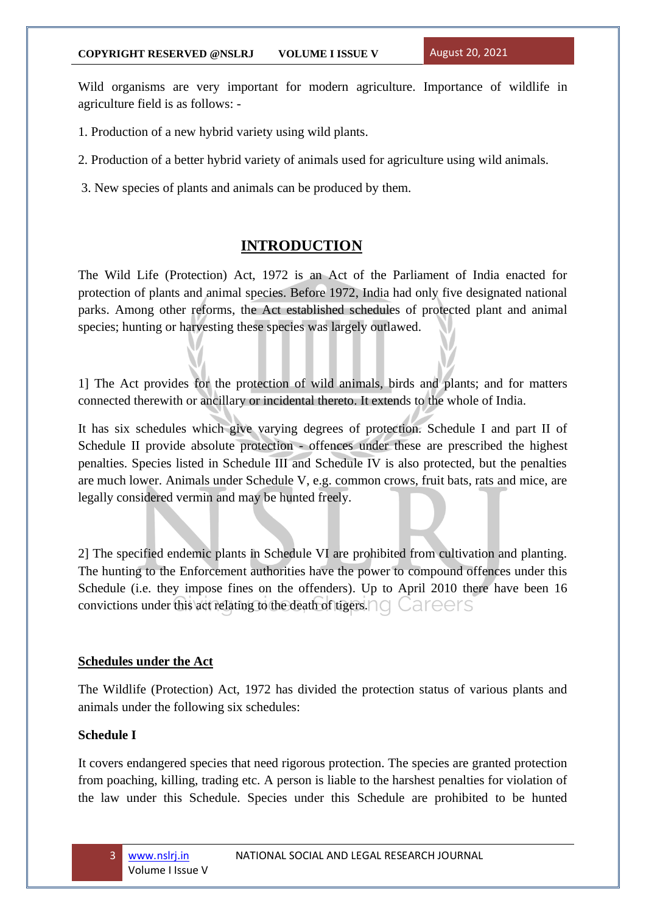Wild organisms are very important for modern agriculture. Importance of wildlife in agriculture field is as follows: -

- 1. Production of a new hybrid variety using wild plants.
- 2. Production of a better hybrid variety of animals used for agriculture using wild animals.
- 3. New species of plants and animals can be produced by them.

## **INTRODUCTION**

The Wild Life (Protection) Act, 1972 is an Act of the Parliament of India enacted for protection of plants and animal species. Before 1972, India had only five designated national parks. Among other reforms, the Act established schedules of protected plant and animal species; hunting or harvesting these species was largely outlawed.

1] The Act provides for the protection of wild animals, birds and plants; and for matters connected therewith or ancillary or incidental thereto. It extends to the whole of India.

It has six schedules which give varying degrees of protection. Schedule I and part II of Schedule II provide absolute protection - offences under these are prescribed the highest penalties. Species listed in Schedule III and Schedule IV is also protected, but the penalties are much lower. Animals under Schedule V, e.g. common crows, fruit bats, rats and mice, are legally considered vermin and may be hunted freely.

2] The specified endemic plants in Schedule VI are prohibited from cultivation and planting. The hunting to the Enforcement authorities have the power to compound offences under this Schedule (i.e. they impose fines on the offenders). Up to April 2010 there have been 16 convictions under this act relating to the death of tigers.

### **Schedules under the Act**

The Wildlife (Protection) Act, 1972 has divided the protection status of various plants and animals under the following six schedules:

### **Schedule I**

It covers endangered species that need rigorous protection. The species are granted protection from poaching, killing, trading etc. A person is liable to the harshest penalties for violation of the law under this Schedule. Species under this Schedule are prohibited to be hunted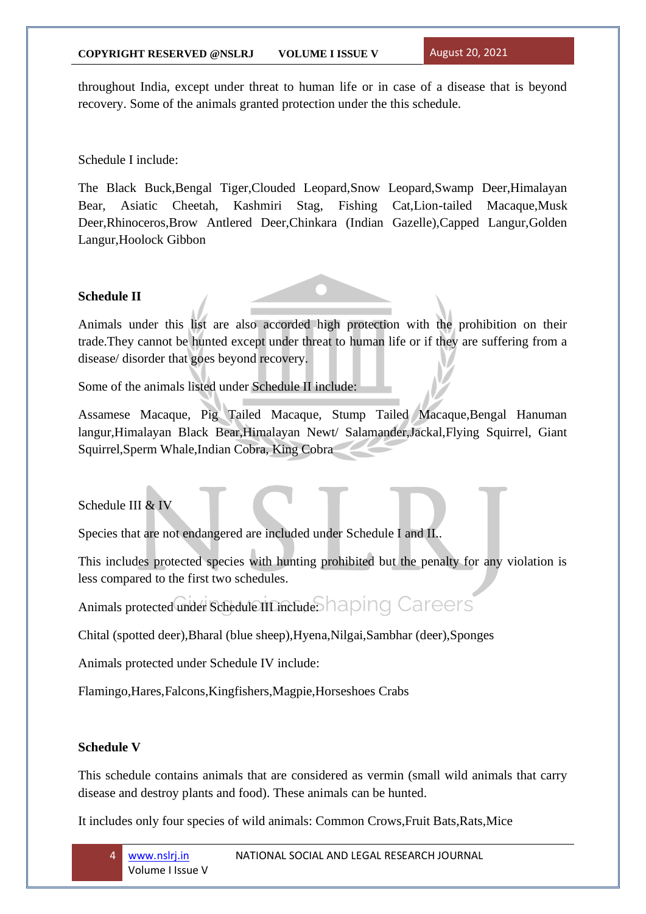throughout India, except under threat to human life or in case of a disease that is beyond recovery. Some of the animals granted protection under the this schedule.

Schedule I include:

The Black Buck,Bengal Tiger,Clouded Leopard,Snow Leopard,Swamp Deer,Himalayan Bear, Asiatic Cheetah, Kashmiri Stag, Fishing Cat,Lion-tailed Macaque,Musk Deer,Rhinoceros,Brow Antlered Deer,Chinkara (Indian Gazelle),Capped Langur,Golden Langur,Hoolock Gibbon

### **Schedule II**

Animals under this list are also accorded high protection with the prohibition on their trade.They cannot be hunted except under threat to human life or if they are suffering from a disease/ disorder that goes beyond recovery.

Some of the animals listed under Schedule II include:

Assamese Macaque, Pig Tailed Macaque, Stump Tailed Macaque,Bengal Hanuman langur,Himalayan Black Bear,Himalayan Newt/ Salamander,Jackal,Flying Squirrel, Giant Squirrel,Sperm Whale,Indian Cobra, King Cobra

Schedule III & IV

Species that are not endangered are included under Schedule I and II..

This includes protected species with hunting prohibited but the penalty for any violation is less compared to the first two schedules.

Animals protected under Schedule III include: haping Careers

Chital (spotted deer),Bharal (blue sheep),Hyena,Nilgai,Sambhar (deer),Sponges

Animals protected under Schedule IV include:

Flamingo,Hares,Falcons,Kingfishers,Magpie,Horseshoes Crabs

## **Schedule V**

This schedule contains animals that are considered as vermin (small wild animals that carry disease and destroy plants and food). These animals can be hunted.

It includes only four species of wild animals: Common Crows,Fruit Bats,Rats,Mice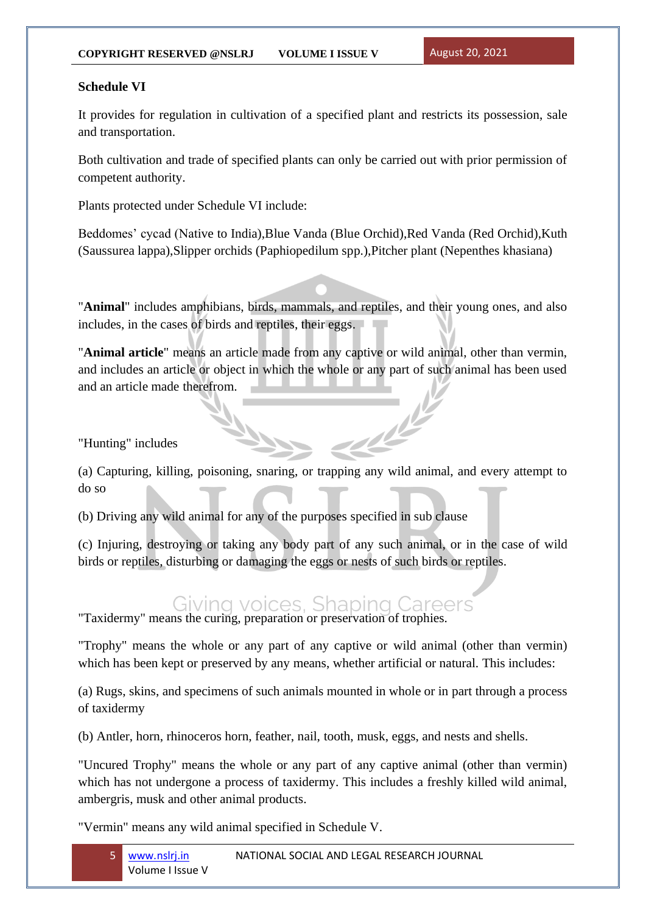## **Schedule VI**

It provides for regulation in cultivation of a specified plant and restricts its possession, sale and transportation.

Both cultivation and trade of specified plants can only be carried out with prior permission of competent authority.

Plants protected under Schedule VI include:

Beddomes' cycad (Native to India),Blue Vanda (Blue Orchid),Red Vanda (Red Orchid),Kuth (Saussurea lappa),Slipper orchids (Paphiopedilum spp.),Pitcher plant (Nepenthes khasiana)

"**Animal**" includes amphibians, birds, mammals, and reptiles, and their young ones, and also includes, in the cases of birds and reptiles, their eggs.

"**Animal article**" means an article made from any captive or wild animal, other than vermin, and includes an article or object in which the whole or any part of such animal has been used and an article made therefrom.

للمليد

"Hunting" includes

(a) Capturing, killing, poisoning, snaring, or trapping any wild animal, and every attempt to do so

(b) Driving any wild animal for any of the purposes specified in sub clause

(c) Injuring, destroying or taking any body part of any such animal, or in the case of wild birds or reptiles, disturbing or damaging the eggs or nests of such birds or reptiles.

#### Giving voices. Shaping ( Careers

"Taxidermy" means the curing, preparation or preservation of trophies.

"Trophy" means the whole or any part of any captive or wild animal (other than vermin) which has been kept or preserved by any means, whether artificial or natural. This includes:

(a) Rugs, skins, and specimens of such animals mounted in whole or in part through a process of taxidermy

(b) Antler, horn, rhinoceros horn, feather, nail, tooth, musk, eggs, and nests and shells.

"Uncured Trophy" means the whole or any part of any captive animal (other than vermin) which has not undergone a process of taxidermy. This includes a freshly killed wild animal, ambergris, musk and other animal products.

"Vermin" means any wild animal specified in Schedule V.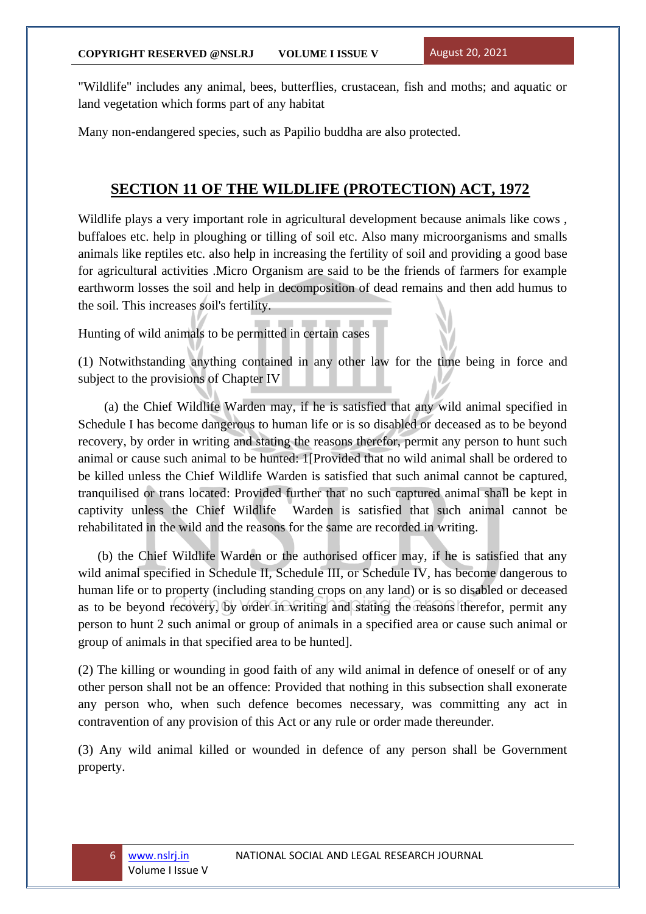"Wildlife" includes any animal, bees, butterflies, crustacean, fish and moths; and aquatic or land vegetation which forms part of any habitat

Many non-endangered species, such as Papilio buddha are also protected.

## **SECTION 11 OF THE WILDLIFE (PROTECTION) ACT, 1972**

Wildlife plays a very important role in agricultural development because animals like cows, buffaloes etc. help in ploughing or tilling of soil etc. Also many microorganisms and smalls animals like reptiles etc. also help in increasing the fertility of soil and providing a good base for agricultural activities .Micro Organism are said to be the friends of farmers for example earthworm losses the soil and help in decomposition of dead remains and then add humus to the soil. This increases soil's fertility.

Hunting of wild animals to be permitted in certain cases

(1) Notwithstanding anything contained in any other law for the time being in force and subject to the provisions of Chapter IV

 (a) the Chief Wildlife Warden may, if he is satisfied that any wild animal specified in Schedule I has become dangerous to human life or is so disabled or deceased as to be beyond recovery, by order in writing and stating the reasons therefor, permit any person to hunt such animal or cause such animal to be hunted: 1[Provided that no wild animal shall be ordered to be killed unless the Chief Wildlife Warden is satisfied that such animal cannot be captured, tranquilised or trans located: Provided further that no such captured animal shall be kept in captivity unless the Chief Wildlife Warden is satisfied that such animal cannot be rehabilitated in the wild and the reasons for the same are recorded in writing.

 (b) the Chief Wildlife Warden or the authorised officer may, if he is satisfied that any wild animal specified in Schedule II, Schedule III, or Schedule IV, has become dangerous to human life or to property (including standing crops on any land) or is so disabled or deceased as to be beyond recovery, by order in writing and stating the reasons therefor, permit any person to hunt 2 such animal or group of animals in a specified area or cause such animal or group of animals in that specified area to be hunted].

(2) The killing or wounding in good faith of any wild animal in defence of oneself or of any other person shall not be an offence: Provided that nothing in this subsection shall exonerate any person who, when such defence becomes necessary, was committing any act in contravention of any provision of this Act or any rule or order made thereunder.

(3) Any wild animal killed or wounded in defence of any person shall be Government property.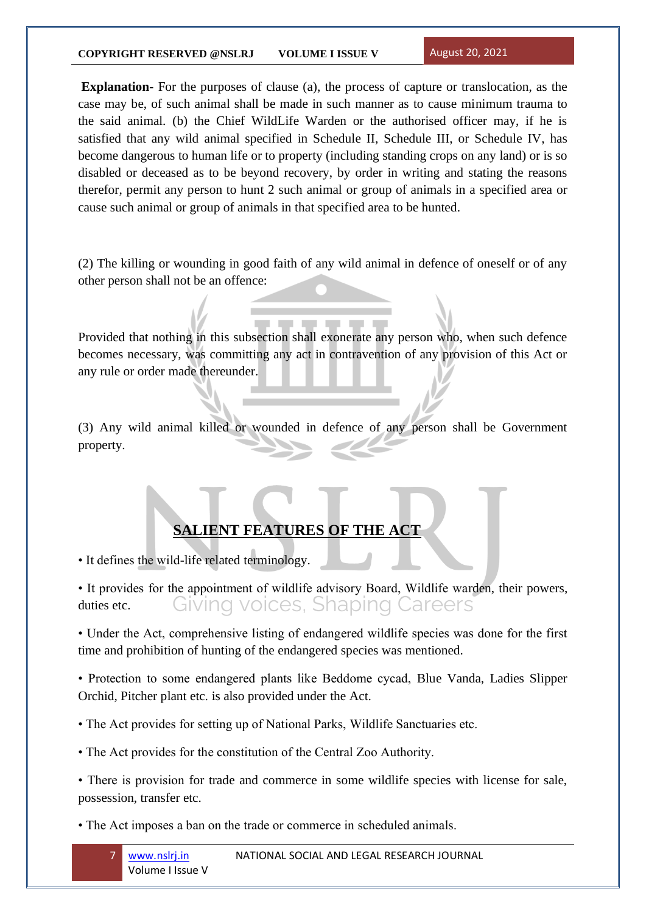### **COPYRIGHT RESERVED @NSLRJ VOLUME I ISSUE V** August 20, 2021

**Explanation-** For the purposes of clause (a), the process of capture or translocation, as the case may be, of such animal shall be made in such manner as to cause minimum trauma to the said animal. (b) the Chief WildLife Warden or the authorised officer may, if he is satisfied that any wild animal specified in Schedule II, Schedule III, or Schedule IV, has become dangerous to human life or to property (including standing crops on any land) or is so disabled or deceased as to be beyond recovery, by order in writing and stating the reasons therefor, permit any person to hunt 2 such animal or group of animals in a specified area or cause such animal or group of animals in that specified area to be hunted.

(2) The killing or wounding in good faith of any wild animal in defence of oneself or of any other person shall not be an offence:

Provided that nothing in this subsection shall exonerate any person who, when such defence becomes necessary, was committing any act in contravention of any provision of this Act or any rule or order made thereunder.

(3) Any wild animal killed or wounded in defence of any person shall be Government property.

## **SALIENT FEATURES OF THE ACT**

• It defines the wild-life related terminology.

• It provides for the appointment of wildlife advisory Board, Wildlife warden, their powers, Giving voices, Shaping Careers duties etc.

• Under the Act, comprehensive listing of endangered wildlife species was done for the first time and prohibition of hunting of the endangered species was mentioned.

• Protection to some endangered plants like Beddome cycad, Blue Vanda, Ladies Slipper Orchid, Pitcher plant etc. is also provided under the Act.

• The Act provides for setting up of National Parks, Wildlife Sanctuaries etc.

• The Act provides for the constitution of the Central Zoo Authority.

• There is provision for trade and commerce in some wildlife species with license for sale, possession, transfer etc.

• The Act imposes a ban on the trade or commerce in scheduled animals.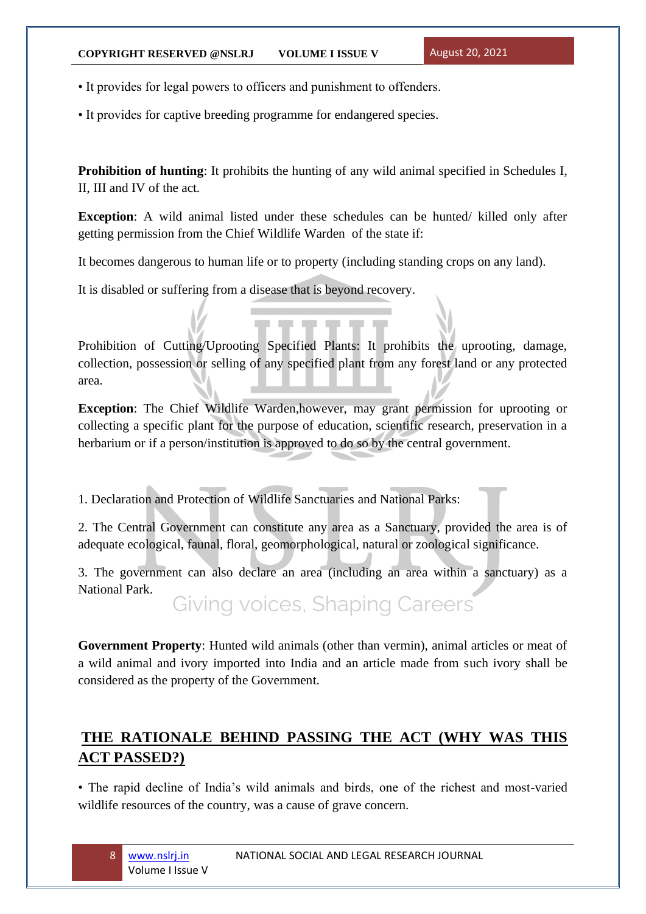• It provides for legal powers to officers and punishment to offenders.

• It provides for captive breeding programme for endangered species.

**Prohibition of hunting**: It prohibits the hunting of any wild animal specified in Schedules I, II, III and IV of the act.

**Exception**: A wild animal listed under these schedules can be hunted/ killed only after getting permission from the Chief Wildlife Warden of the state if:

It becomes dangerous to human life or to property (including standing crops on any land).

It is disabled or suffering from a disease that is beyond recovery.

Prohibition of Cutting/Uprooting Specified Plants: It prohibits the uprooting, damage, collection, possession or selling of any specified plant from any forest land or any protected area.

**Exception**: The Chief Wildlife Warden,however, may grant permission for uprooting or collecting a specific plant for the purpose of education, scientific research, preservation in a herbarium or if a person/institution is approved to do so by the central government.

1. Declaration and Protection of Wildlife Sanctuaries and National Parks:

2. The Central Government can constitute any area as a Sanctuary, provided the area is of adequate ecological, faunal, floral, geomorphological, natural or zoological significance.

3. The government can also declare an area (including an area within a sanctuary) as a National Park.

Giving voices, Shaping Careers

**Government Property**: Hunted wild animals (other than vermin), animal articles or meat of a wild animal and ivory imported into India and an article made from such ivory shall be considered as the property of the Government.

## **THE RATIONALE BEHIND PASSING THE ACT (WHY WAS THIS ACT PASSED?)**

• The rapid decline of India's wild animals and birds, one of the richest and most-varied wildlife resources of the country, was a cause of grave concern.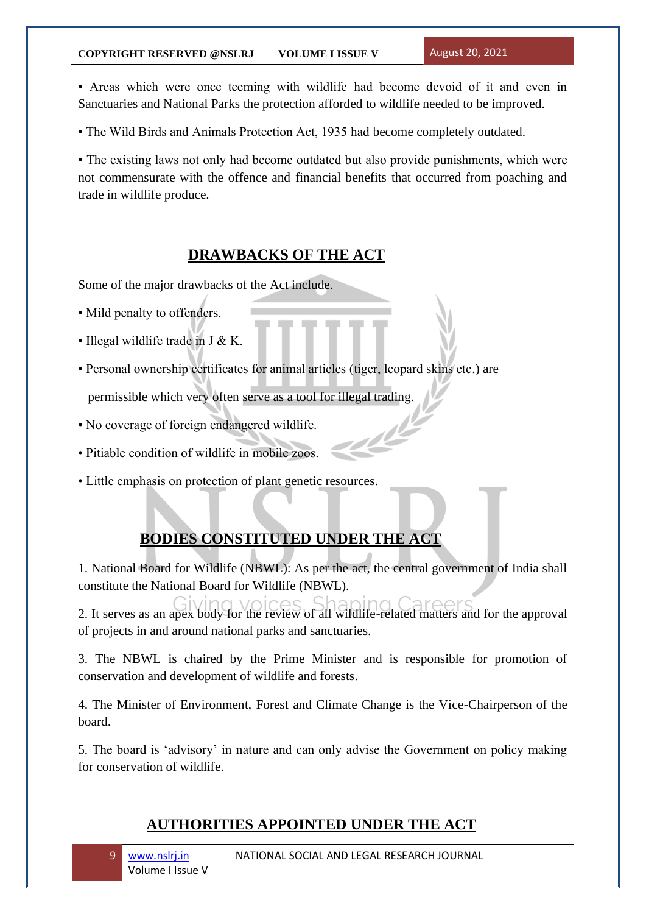### **COPYRIGHT RESERVED @NSLRJ VOLUME I ISSUE V** August 20, 2021

• Areas which were once teeming with wildlife had become devoid of it and even in Sanctuaries and National Parks the protection afforded to wildlife needed to be improved.

• The Wild Birds and Animals Protection Act, 1935 had become completely outdated.

• The existing laws not only had become outdated but also provide punishments, which were not commensurate with the offence and financial benefits that occurred from poaching and trade in wildlife produce.

## **DRAWBACKS OF THE ACT**

Some of the major drawbacks of the Act include.

- Mild penalty to offenders.
- Illegal wildlife trade in J & K.
- Personal ownership certificates for animal articles (tiger, leopard skins etc.) are permissible which very often serve as a tool for illegal trading.
- No coverage of foreign endangered wildlife.
- Pitiable condition of wildlife in mobile zoos.
- Little emphasis on protection of plant genetic resources.

## **BODIES CONSTITUTED UNDER THE ACT**

1. National Board for Wildlife (NBWL): As per the act, the central government of India shall constitute the National Board for Wildlife (NBWL).

2. It serves as an apex body for the review of all wildlife-related matters and for the approval of projects in and around national parks and sanctuaries.

3. The NBWL is chaired by the Prime Minister and is responsible for promotion of conservation and development of wildlife and forests.

4. The Minister of Environment, Forest and Climate Change is the Vice-Chairperson of the board.

5. The board is 'advisory' in nature and can only advise the Government on policy making for conservation of wildlife.

## **AUTHORITIES APPOINTED UNDER THE ACT**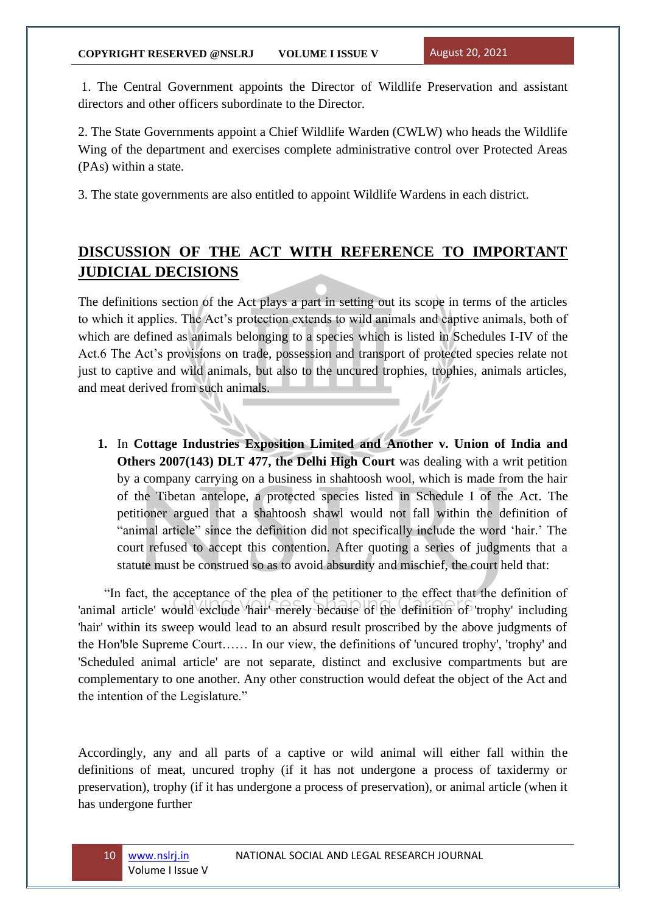1. The Central Government appoints the Director of Wildlife Preservation and assistant directors and other officers subordinate to the Director.

2. The State Governments appoint a Chief Wildlife Warden (CWLW) who heads the Wildlife Wing of the department and exercises complete administrative control over Protected Areas (PAs) within a state.

3. The state governments are also entitled to appoint Wildlife Wardens in each district.

# **DISCUSSION OF THE ACT WITH REFERENCE TO IMPORTANT JUDICIAL DECISIONS**

The definitions section of the Act plays a part in setting out its scope in terms of the articles to which it applies. The Act's protection extends to wild animals and captive animals, both of which are defined as animals belonging to a species which is listed in Schedules I-IV of the Act.6 The Act's provisions on trade, possession and transport of protected species relate not just to captive and wild animals, but also to the uncured trophies, trophies, animals articles, and meat derived from such animals.

**1.** In **Cottage Industries Exposition Limited and Another v. Union of India and Others 2007(143) DLT 477, the Delhi High Court** was dealing with a writ petition by a company carrying on a business in shahtoosh wool, which is made from the hair of the Tibetan antelope, a protected species listed in Schedule I of the Act. The petitioner argued that a shahtoosh shawl would not fall within the definition of "animal article" since the definition did not specifically include the word 'hair.' The court refused to accept this contention. After quoting a series of judgments that a statute must be construed so as to avoid absurdity and mischief, the court held that:

 "In fact, the acceptance of the plea of the petitioner to the effect that the definition of 'animal article' would exclude 'hair' merely because of the definition of 'trophy' including 'hair' within its sweep would lead to an absurd result proscribed by the above judgments of the Hon'ble Supreme Court…… In our view, the definitions of 'uncured trophy', 'trophy' and 'Scheduled animal article' are not separate, distinct and exclusive compartments but are complementary to one another. Any other construction would defeat the object of the Act and the intention of the Legislature."

Accordingly, any and all parts of a captive or wild animal will either fall within the definitions of meat, uncured trophy (if it has not undergone a process of taxidermy or preservation), trophy (if it has undergone a process of preservation), or animal article (when it has undergone further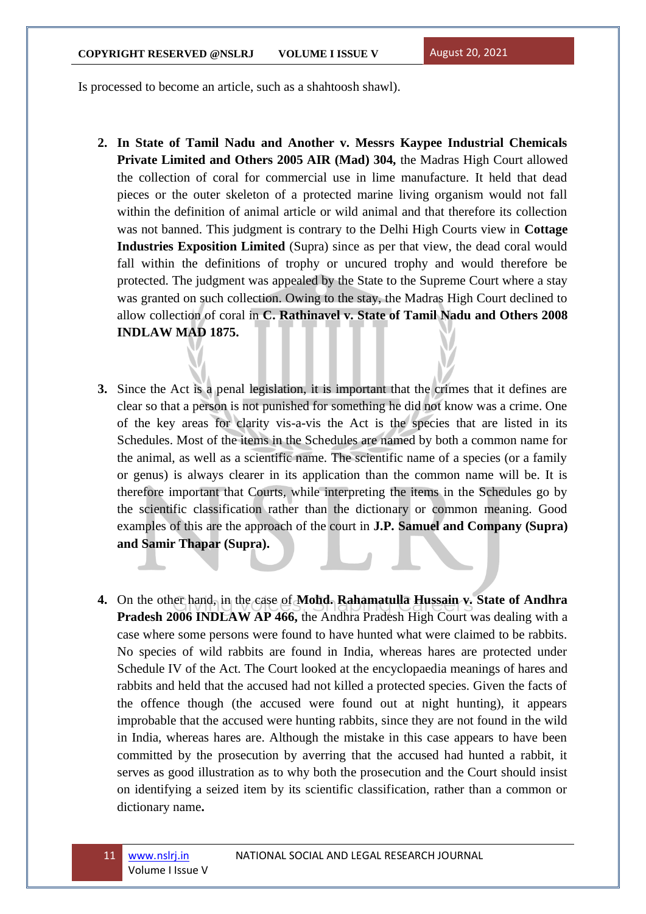Is processed to become an article, such as a shahtoosh shawl).

- **2. In State of Tamil Nadu and Another v. Messrs Kaypee Industrial Chemicals Private Limited and Others 2005 AIR (Mad) 304,** the Madras High Court allowed the collection of coral for commercial use in lime manufacture. It held that dead pieces or the outer skeleton of a protected marine living organism would not fall within the definition of animal article or wild animal and that therefore its collection was not banned. This judgment is contrary to the Delhi High Courts view in **Cottage Industries Exposition Limited** (Supra) since as per that view, the dead coral would fall within the definitions of trophy or uncured trophy and would therefore be protected. The judgment was appealed by the State to the Supreme Court where a stay was granted on such collection. Owing to the stay, the Madras High Court declined to allow collection of coral in **C. Rathinavel v. State of Tamil Nadu and Others 2008 INDLAW MAD 1875.**
- **3.** Since the Act is a penal legislation, it is important that the crimes that it defines are clear so that a person is not punished for something he did not know was a crime. One of the key areas for clarity vis-a-vis the Act is the species that are listed in its Schedules. Most of the items in the Schedules are named by both a common name for the animal, as well as a scientific name. The scientific name of a species (or a family or genus) is always clearer in its application than the common name will be. It is therefore important that Courts, while interpreting the items in the Schedules go by the scientific classification rather than the dictionary or common meaning. Good examples of this are the approach of the court in **J.P. Samuel and Company (Supra) and Samir Thapar (Supra).**
- **4.** On the other hand, in the case of **Mohd. Rahamatulla Hussain v. State of Andhra Pradesh 2006 INDLAW AP 466,** the Andhra Pradesh High Court was dealing with a case where some persons were found to have hunted what were claimed to be rabbits. No species of wild rabbits are found in India, whereas hares are protected under Schedule IV of the Act. The Court looked at the encyclopaedia meanings of hares and rabbits and held that the accused had not killed a protected species. Given the facts of the offence though (the accused were found out at night hunting), it appears improbable that the accused were hunting rabbits, since they are not found in the wild in India, whereas hares are. Although the mistake in this case appears to have been committed by the prosecution by averring that the accused had hunted a rabbit, it serves as good illustration as to why both the prosecution and the Court should insist on identifying a seized item by its scientific classification, rather than a common or dictionary name**.**